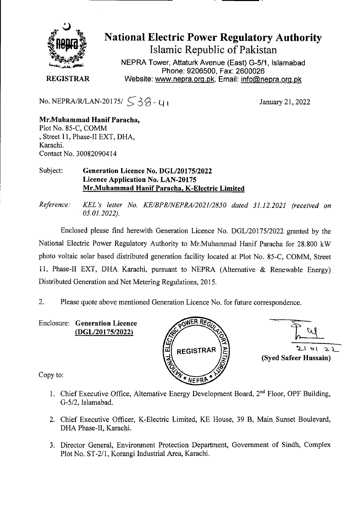

National Electric Power Regulatory Authority Islamic Republic of Pakistan

**NEPRA Tower, Attaturk Avenue (East) G-511, Islamabad Phone: 9206500, Fax: 2600026 REGISTRAR** Website: www.nepra.org.pk, Email: info@nepra.org.pk

No. NEPRA/R/LAN-20175/ $\zeta$ 3 $\zeta$  -  $\zeta$  I

January 21, 2022

**Mr.Muhammad Hanif Paracha,**  Plot No. 85-C, COMM Street 11, Phase-Il EXT, DHA, Karachi. Contact No, 30082090414

### Subject: **Generation Licence** No. DGL/20175/2022 **Licence Application** No. LAN-20175 **Mr.Muhammad Hanif Paracha, K-Electric Limited**

*Reference.' KEL 's letter No. KE/BPR/NEPRA/2021/2850 dated 31.12.2021 (received on 05.01.2022).* 

Enclosed please find herewith Generation Licence No. DGL/20175/2022 granted by the National Electric Power Regulatory Authority to Mr.Muhammad Hanif Paracha for 28.800 kW photo voltaic solar based distributed generation facility located at Plot No. 85-C, COMM. Street 11, Phase-Il EXT, DHA Karachi, pursuant to NEPRA (Alternative & Renewable Energy) Distributed Generation and Net Metering Regulations, 2015.

2. Please quote above mentioned Generation Licence No. for future correspondence.

Enclosure: **Generation Licence**  (DGL/20175/2022)





Copy to:

- 1. Chief Executive Office, Alternative Energy Development Board, 2<sup>nd</sup> Floor, OPF Building, *G-512,* Islarnabad.
- 2. Chief Executive Officer, K-Electric Limited, KE House, 39 B, Main Sunset Boulevard, DHA Phase-II, Karachi.
- 3. Director General, Environment Protection Department, Government of Sindh, Complex Plot No. ST-2/1, Korangi Industrial Area, Karachi.